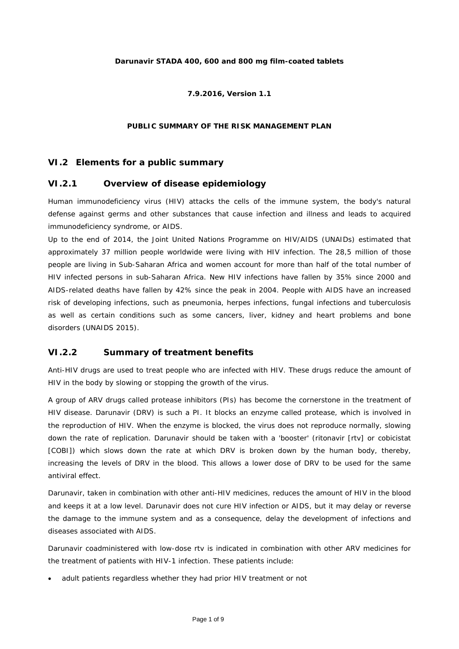### **Darunavir STADA 400, 600 and 800 mg film-coated tablets**

#### **7.9.2016, Version 1.1**

#### PUBLIC SUMMARY OF THE RISK MANAGEMENT PLAN

### *VI.2 Elements for a public summary*

### **VI.2.1 Overview of disease epidemiology**

Human immunodeficiency virus (HIV) attacks the cells of the immune system, the body's natural defense against germs and other substances that cause infection and illness and leads to acquired immunodeficiency syndrome, or AIDS.

Up to the end of 2014, the Joint United Nations Programme on HIV/AIDS (UNAIDs) estimated that approximately 37 million people worldwide were living with HIV infection. The 28,5 million of those people are living in Sub-Saharan Africa and women account for more than half of the total number of HIV infected persons in sub-Saharan Africa. New HIV infections have fallen by 35% since 2000 and AIDS-related deaths have fallen by 42% since the peak in 2004. People with AIDS have an increased risk of developing infections, such as pneumonia, herpes infections, fungal infections and tuberculosis as well as certain conditions such as some cancers, liver, kidney and heart problems and bone disorders (*UNAIDS 2015*).

### *VI.2.2 Summary of treatment benefits*

Anti-HIV drugs are used to treat people who are infected with HIV. These drugs reduce the amount of HIV in the body by slowing or stopping the growth of the virus.

A group of ARV drugs called protease inhibitors (PIs) has become the cornerstone in the treatment of HIV disease. Darunavir (DRV) is such a PI. It blocks an enzyme called protease, which is involved in the reproduction of HIV. When the enzyme is blocked, the virus does not reproduce normally, slowing down the rate of replication. Darunavir should be taken with a 'booster' (ritonavir [rtv] or cobicistat [COBI]) which slows down the rate at which DRV is broken down by the human body, thereby, increasing the levels of DRV in the blood. This allows a lower dose of DRV to be used for the same antiviral effect.

Darunavir, taken in combination with other anti-HIV medicines, reduces the amount of HIV in the blood and keeps it at a low level. Darunavir does not cure HIV infection or AIDS, but it may delay or reverse the damage to the immune system and as a consequence, delay the development of infections and diseases associated with AIDS.

Darunavir coadministered with low-dose rtv is indicated in combination with other ARV medicines for the treatment of patients with HIV-1 infection. These patients include:

• adult patients regardless whether they had prior HIV treatment or not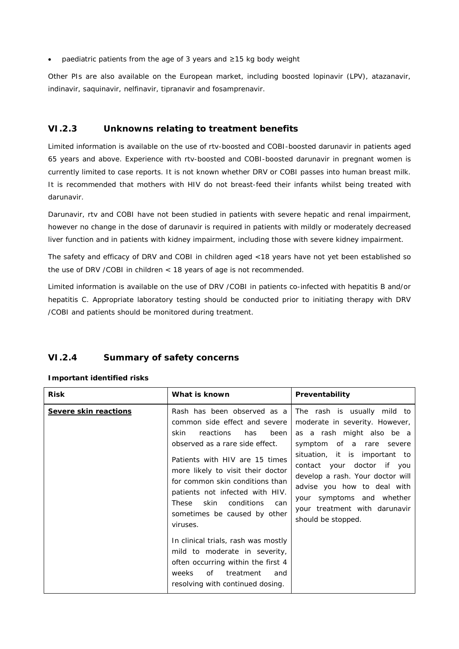• paediatric patients from the age of 3 years and ≥15 kg body weight

Other PIs are also available on the European market, including boosted lopinavir (LPV), atazanavir, indinavir, saquinavir, nelfinavir, tipranavir and fosamprenavir.

## **VI.2.3 Unknowns relating to treatment benefits**

Limited information is available on the use of rtv-boosted and COBI-boosted darunavir in patients aged 65 years and above. Experience with rtv-boosted and COBI-boosted darunavir in pregnant women is currently limited to case reports. It is not known whether DRV or COBI passes into human breast milk. It is recommended that mothers with HIV do not breast-feed their infants whilst being treated with darunavir.

Darunavir, rtv and COBI have not been studied in patients with severe hepatic and renal impairment, however no change in the dose of darunavir is required in patients with mildly or moderately decreased liver function and in patients with kidney impairment, including those with severe kidney impairment.

The safety and efficacy of DRV and COBI in children aged <18 years have not yet been established so the use of DRV /COBI in children < 18 years of age is not recommended.

Limited information is available on the use of DRV /COBI in patients co-infected with hepatitis B and/or hepatitis C. Appropriate laboratory testing should be conducted prior to initiating therapy with DRV /COBI and patients should be monitored during treatment.

## **VI.2.4 Summary of safety concerns**

| <b>Risk</b>                  | What is known                                                                                                                                                                                                                                                                                                                                                      | Preventability                                                                                                                                                                                                                                                                                                                               |
|------------------------------|--------------------------------------------------------------------------------------------------------------------------------------------------------------------------------------------------------------------------------------------------------------------------------------------------------------------------------------------------------------------|----------------------------------------------------------------------------------------------------------------------------------------------------------------------------------------------------------------------------------------------------------------------------------------------------------------------------------------------|
| <b>Severe skin reactions</b> | Rash has been observed as a<br>common side effect and severe<br>skin<br>reactions<br>been<br>has<br>observed as a rare side effect.<br>Patients with HIV are 15 times<br>more likely to visit their doctor<br>for common skin conditions than<br>patients not infected with HIV.<br>skin<br>conditions<br>These<br>can<br>sometimes be caused by other<br>viruses. | The rash is usually mild to<br>moderate in severity. However,<br>as a rash might also be a<br>symptom of a rare severe<br>situation, it is important to<br>contact your doctor if you<br>develop a rash. Your doctor will<br>advise you how to deal with<br>your symptoms and whether<br>your treatment with darunavir<br>should be stopped. |
|                              | In clinical trials, rash was mostly<br>mild to moderate in severity,<br>often occurring within the first 4<br>0f<br>weeks<br>treatment<br>and<br>resolving with continued dosing.                                                                                                                                                                                  |                                                                                                                                                                                                                                                                                                                                              |

### **Important identified risks**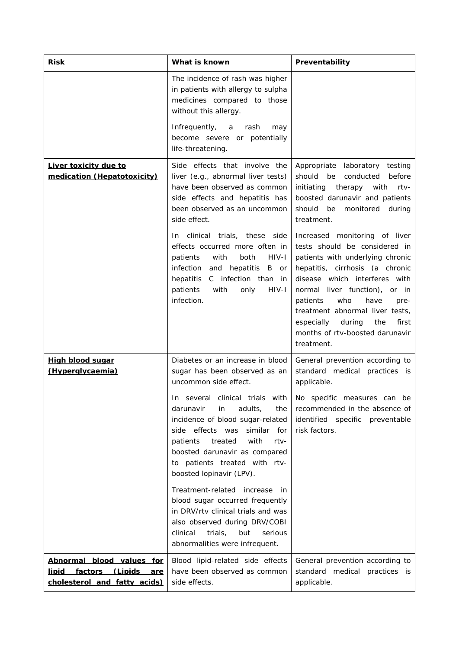| <b>Risk</b>                                                                            | What is known                                                                                                                                                                                                                              | Preventability                                                                                                                                                                                                                                                                                                                                                      |
|----------------------------------------------------------------------------------------|--------------------------------------------------------------------------------------------------------------------------------------------------------------------------------------------------------------------------------------------|---------------------------------------------------------------------------------------------------------------------------------------------------------------------------------------------------------------------------------------------------------------------------------------------------------------------------------------------------------------------|
|                                                                                        | The incidence of rash was higher<br>in patients with allergy to sulpha<br>medicines compared to those<br>without this allergy.                                                                                                             |                                                                                                                                                                                                                                                                                                                                                                     |
|                                                                                        | Infrequently,<br>a<br>rash<br>may<br>become severe or potentially<br>life-threatening.                                                                                                                                                     |                                                                                                                                                                                                                                                                                                                                                                     |
| Liver toxicity due to<br>medication (Hepatotoxicity)                                   | Side effects that involve the<br>liver (e.g., abnormal liver tests)<br>have been observed as common<br>side effects and hepatitis has<br>been observed as an uncommon<br>side effect.                                                      | Appropriate laboratory testing<br>should be<br>conducted<br>before<br>initiating<br>therapy<br>with<br>rtv-<br>boosted darunavir and patients<br>should be<br>monitored<br>during<br>treatment.                                                                                                                                                                     |
|                                                                                        | clinical trials, these side<br>In.<br>effects occurred more often in<br>both<br>HIV-I<br>patients<br>with<br>infection<br>and hepatitis B<br>or<br>C infection than in<br>hepatitis<br>HIV-I<br>patients<br>with<br>only<br>infection.     | Increased monitoring of liver<br>tests should be considered in<br>patients with underlying chronic<br>hepatitis, cirrhosis (a chronic<br>disease which interferes with<br>normal liver function), or in<br>who<br>have<br>patients<br>pre-<br>treatment abnormal liver tests,<br>especially during<br>the<br>first<br>months of rtv-boosted darunavir<br>treatment. |
| <u>High blood sugar</u><br>(Hyperglycaemia)                                            | Diabetes or an increase in blood<br>sugar has been observed as an<br>uncommon side effect.                                                                                                                                                 | General prevention according to<br>standard medical practices is<br>applicable.                                                                                                                                                                                                                                                                                     |
|                                                                                        | darunavir<br>adults,<br>in<br>the<br>incidence of blood sugar-related<br>side effects was similar for<br>with<br>patients<br>treated<br>rtv-<br>boosted darunavir as compared<br>to patients treated with rtv-<br>boosted lopinavir (LPV). | In several clinical trials with $\vert$ No specific measures can be<br>recommended in the absence of<br>identified specific preventable<br>risk factors.                                                                                                                                                                                                            |
|                                                                                        | Treatment-related increase<br>- in<br>blood sugar occurred frequently<br>in DRV/rtv clinical trials and was<br>also observed during DRV/COBI<br>serious<br>clinical<br>trials,<br>but<br>abnormalities were infrequent.                    |                                                                                                                                                                                                                                                                                                                                                                     |
| Abnormal blood values for<br>lipid factors (Lipids are<br>cholesterol and fatty acids) | Blood lipid-related side effects<br>have been observed as common<br>side effects.                                                                                                                                                          | General prevention according to<br>standard medical practices is<br>applicable.                                                                                                                                                                                                                                                                                     |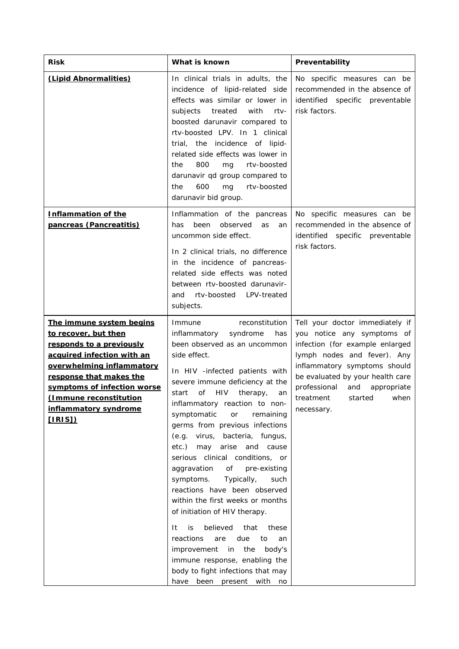| <b>Risk</b>                                                                                                                                                                                                                                                                    | What is known                                                                                                                                                                                                                                                                                                                                                                                                                                                                                                                                                                                                                                                                                                                                                                                                                                                  | Preventability                                                                                                                                                                                                                                                                    |
|--------------------------------------------------------------------------------------------------------------------------------------------------------------------------------------------------------------------------------------------------------------------------------|----------------------------------------------------------------------------------------------------------------------------------------------------------------------------------------------------------------------------------------------------------------------------------------------------------------------------------------------------------------------------------------------------------------------------------------------------------------------------------------------------------------------------------------------------------------------------------------------------------------------------------------------------------------------------------------------------------------------------------------------------------------------------------------------------------------------------------------------------------------|-----------------------------------------------------------------------------------------------------------------------------------------------------------------------------------------------------------------------------------------------------------------------------------|
| (Lipid Abnormalities)                                                                                                                                                                                                                                                          | In clinical trials in adults, the<br>incidence of lipid-related side<br>effects was similar or lower in<br>treated<br>with<br>subjects<br>rtv-<br>boosted darunavir compared to<br>rtv-boosted LPV. In 1 clinical<br>trial, the incidence of lipid-<br>related side effects was lower in<br>800<br>rtv-boosted<br>the<br>mg<br>darunavir qd group compared to<br>600<br>rtv-boosted<br>the<br>mg<br>darunavir bid group.                                                                                                                                                                                                                                                                                                                                                                                                                                       | No specific measures can be<br>recommended in the absence of<br>identified specific preventable<br>risk factors.                                                                                                                                                                  |
| <b>Inflammation of the</b><br>pancreas (Pancreatitis)                                                                                                                                                                                                                          | Inflammation of the pancreas<br>been<br>observed<br>has<br>as<br>an<br>uncommon side effect.<br>In 2 clinical trials, no difference<br>in the incidence of pancreas-<br>related side effects was noted<br>between rtv-boosted darunavir-<br>rtv-boosted<br>LPV-treated<br>and<br>subjects.                                                                                                                                                                                                                                                                                                                                                                                                                                                                                                                                                                     | No specific measures can be<br>recommended in the absence of<br>identified specific preventable<br>risk factors.                                                                                                                                                                  |
| <u>The immune system begins</u><br>to recover, but then<br>responds to a previously<br>acquired infection with an<br>overwhelming inflammatory<br>response that makes the<br>symptoms of infection worse<br>(Immune reconstitution)<br>inflammatory syndrome<br><u>[IRIS])</u> | reconstitution<br>Immune<br>inflammatory<br>syndrome<br>has<br>been observed as an uncommon<br>side effect.<br>In HIV -infected patients with<br>severe immune deficiency at the<br><b>HIV</b><br>start<br>οf<br>therapy,<br>an<br>inflammatory reaction to non-<br>symptomatic<br>remaining<br>or<br>germs from previous infections<br>(e.g. virus, bacteria, fungus,<br>etc.)<br>may arise<br>and cause<br>serious clinical conditions, or<br>of<br>aggravation<br>pre-existing<br>symptoms.<br>Typically,<br>such<br>reactions have been observed<br>within the first weeks or months<br>of initiation of HIV therapy.<br>believed<br>It<br>is<br>that<br>these<br>due<br>reactions<br>are<br>to<br>an<br>the<br>improvement<br>in<br>body's<br>immune response, enabling the<br>body to fight infections that may<br>have<br>been<br>present<br>with<br>no | Tell your doctor immediately if<br>you notice any symptoms of<br>infection (for example enlarged<br>lymph nodes and fever). Any<br>inflammatory symptoms should<br>be evaluated by your health care<br>professional<br>and<br>appropriate<br>treatment started when<br>necessary. |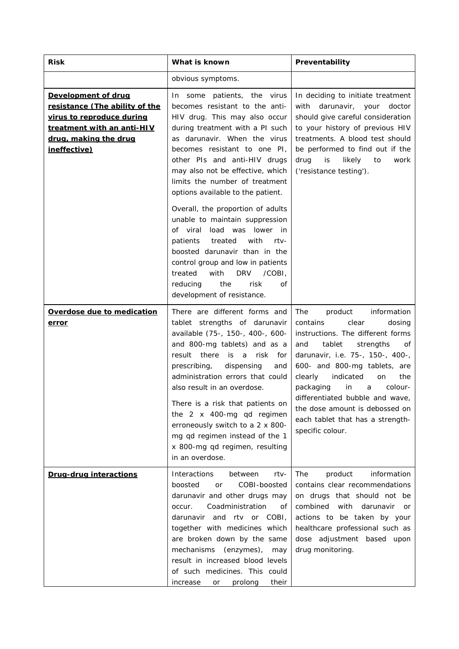| <b>Risk</b>                                                                                                                                                      | What is known                                                                                                                                                                                                                                                                                                                                                                                                                                                                      | Preventability                                                                                                                                                                                                                                                                                                                                                                                                 |
|------------------------------------------------------------------------------------------------------------------------------------------------------------------|------------------------------------------------------------------------------------------------------------------------------------------------------------------------------------------------------------------------------------------------------------------------------------------------------------------------------------------------------------------------------------------------------------------------------------------------------------------------------------|----------------------------------------------------------------------------------------------------------------------------------------------------------------------------------------------------------------------------------------------------------------------------------------------------------------------------------------------------------------------------------------------------------------|
|                                                                                                                                                                  | obvious symptoms.                                                                                                                                                                                                                                                                                                                                                                                                                                                                  |                                                                                                                                                                                                                                                                                                                                                                                                                |
| <b>Development of drug</b><br>resistance (The ability of the<br>virus to reproduce during<br>treatment with an anti-HIV<br>drug, making the drug<br>ineffective) | some patients, the virus<br>In.<br>becomes resistant to the anti-<br>HIV drug. This may also occur<br>during treatment with a PI such<br>as darunavir. When the virus<br>becomes resistant to one PI,<br>other PIs and anti-HIV drugs<br>may also not be effective, which<br>limits the number of treatment<br>options available to the patient.                                                                                                                                   | In deciding to initiate treatment<br>darunavir, your<br>with<br>doctor<br>should give careful consideration<br>to your history of previous HIV<br>treatments. A blood test should<br>be performed to find out if the<br>likely<br>drug<br>is<br>to<br>work<br>('resistance testing').                                                                                                                          |
|                                                                                                                                                                  | Overall, the proportion of adults<br>unable to maintain suppression<br>of viral load was lower in<br>with<br>treated<br>$rtv-$<br>patients<br>boosted darunavir than in the<br>control group and low in patients<br>with<br>DRV<br>treated<br>/COBI,<br>reducing<br>the<br>risk<br>οf<br>development of resistance.                                                                                                                                                                |                                                                                                                                                                                                                                                                                                                                                                                                                |
| <b>Overdose due to medication</b><br><u>error</u>                                                                                                                | There are different forms and<br>tablet strengths of darunavir<br>available (75-, 150-, 400-, 600-<br>and 800-mg tablets) and as a<br>result there<br>is<br>risk<br>a a<br>for<br>prescribing,<br>dispensing<br>and<br>administration errors that could<br>also result in an overdose.<br>There is a risk that patients on<br>the 2 x 400-mg qd regimen<br>erroneously switch to a 2 x 800-<br>mg qd regimen instead of the 1<br>x 800-mg qd regimen, resulting<br>in an overdose. | The<br>product<br>information<br>clear<br>contains<br>dosing<br>instructions. The different forms<br>and<br>tablet<br>strengths<br>of<br>darunavir, i.e. 75-, 150-, 400-,<br>600- and 800-mg tablets, are<br>indicated<br>clearly<br>the<br>on<br>in<br>packaging<br>colour-<br>a<br>differentiated bubble and wave,<br>the dose amount is debossed on<br>each tablet that has a strength-<br>specific colour. |
| Drug-drug interactions                                                                                                                                           | Interactions<br>between<br>$rtv-$<br>boosted<br>COBI-boosted<br>or<br>darunavir and other drugs may<br>Coadministration<br>occur.<br>of<br>darunavir and rty or COBI,<br>together with medicines which<br>are broken down by the same<br>(enzymes),<br>mechanisms<br>may<br>result in increased blood levels<br>of such medicines. This could<br>prolong<br>their<br>increase<br>or                                                                                                | product<br>information<br>The<br>contains clear recommendations<br>on drugs that should not be<br>combined with darunavir<br>or<br>actions to be taken by your<br>healthcare professional such as<br>dose adjustment based upon<br>drug monitoring.                                                                                                                                                            |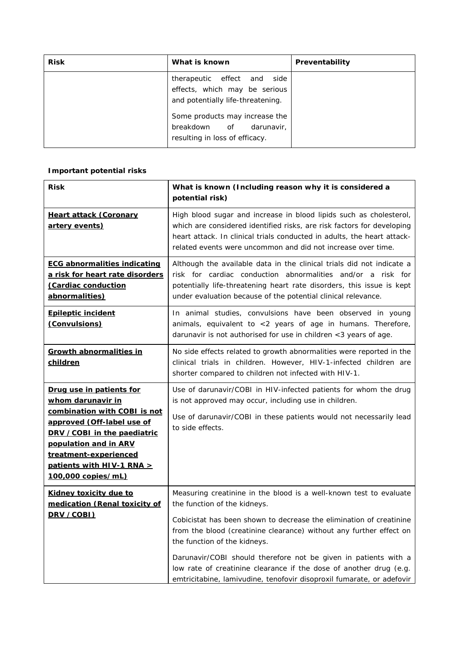| <b>Risk</b> | What is known                                                                                                                                                                                       | Preventability |
|-------------|-----------------------------------------------------------------------------------------------------------------------------------------------------------------------------------------------------|----------------|
|             | therapeutic effect and side<br>effects, which may be serious<br>and potentially life-threatening.<br>Some products may increase the<br>breakdown of<br>darunavir.<br>resulting in loss of efficacy. |                |
|             |                                                                                                                                                                                                     |                |

# **Important potential risks**

| <b>Risk</b>                                                                                                                                                                                                                                                    | What is known (Including reason why it is considered a<br>potential risk)                                                                                                                                                                                                                                                                                                                                                                                                                          |
|----------------------------------------------------------------------------------------------------------------------------------------------------------------------------------------------------------------------------------------------------------------|----------------------------------------------------------------------------------------------------------------------------------------------------------------------------------------------------------------------------------------------------------------------------------------------------------------------------------------------------------------------------------------------------------------------------------------------------------------------------------------------------|
| <b>Heart attack (Coronary</b><br><u>artery events)</u>                                                                                                                                                                                                         | High blood sugar and increase in blood lipids such as cholesterol,<br>which are considered identified risks, are risk factors for developing<br>heart attack. In clinical trials conducted in adults, the heart attack-<br>related events were uncommon and did not increase over time.                                                                                                                                                                                                            |
| <b>ECG abnormalities indicating</b><br>a risk for heart rate disorders<br>(Cardiac conduction<br>abnormalities)                                                                                                                                                | Although the available data in the clinical trials did not indicate a<br>risk for cardiac conduction abnormalities and/or a risk for<br>potentially life-threatening heart rate disorders, this issue is kept<br>under evaluation because of the potential clinical relevance.                                                                                                                                                                                                                     |
| <b>Epileptic incident</b><br>(Convulsions)                                                                                                                                                                                                                     | In animal studies, convulsions have been observed in young<br>animals, equivalent to <2 years of age in humans. Therefore,<br>darunavir is not authorised for use in children <3 years of age.                                                                                                                                                                                                                                                                                                     |
| <b>Growth abnormalities in</b><br>children                                                                                                                                                                                                                     | No side effects related to growth abnormalities were reported in the<br>clinical trials in children. However, HIV-1-infected children are<br>shorter compared to children not infected with HIV-1.                                                                                                                                                                                                                                                                                                 |
| <u>Drug use in patients for</u><br><u>whom darunavir in</u><br>combination with COBI is not<br>approved (Off-label use of<br>DRV / COBI in the paediatric<br>population and in ARV<br>treatment-experienced<br>patients with HIV-1 RNA ><br>100,000 copies/mL) | Use of darunavir/COBI in HIV-infected patients for whom the drug<br>is not approved may occur, including use in children.<br>Use of darunavir/COBI in these patients would not necessarily lead<br>to side effects.                                                                                                                                                                                                                                                                                |
| <b>Kidney toxicity due to</b><br>medication (Renal toxicity of<br>DRV /COBI)                                                                                                                                                                                   | Measuring creatinine in the blood is a well-known test to evaluate<br>the function of the kidneys.<br>Cobicistat has been shown to decrease the elimination of creatinine<br>from the blood (creatinine clearance) without any further effect on<br>the function of the kidneys.<br>Darunavir/COBI should therefore not be given in patients with a<br>low rate of creatinine clearance if the dose of another drug (e.g.<br>emtricitabine, lamivudine, tenofovir disoproxil fumarate, or adefovir |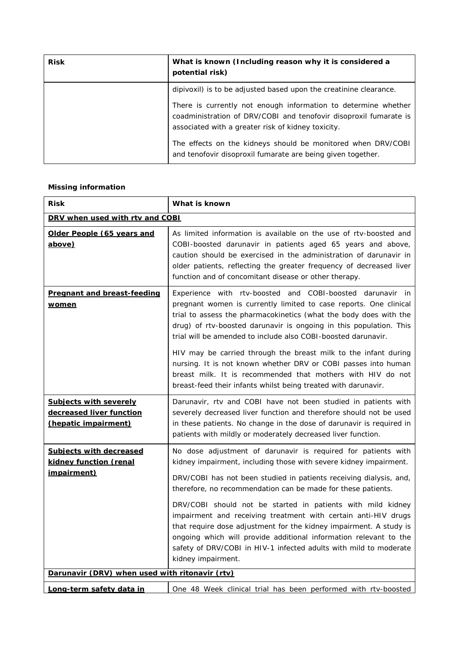| <b>Risk</b> | What is known (Including reason why it is considered a<br>potential risk)                                                                                                                 |
|-------------|-------------------------------------------------------------------------------------------------------------------------------------------------------------------------------------------|
|             | dipivoxil) is to be adjusted based upon the creatinine clearance.                                                                                                                         |
|             | There is currently not enough information to determine whether<br>coadministration of DRV/COBI and tenofovir disoproxil fumarate is<br>associated with a greater risk of kidney toxicity. |
|             | The effects on the kidneys should be monitored when DRV/COBI<br>and tenofovir disoproxil fumarate are being given together.                                                               |

### **Missing information**

| <b>Risk</b>                                                                       | What is known                                                                                                                                                                                                                                                                                                                                                                                                                                                                                                                                                                                                                                   |
|-----------------------------------------------------------------------------------|-------------------------------------------------------------------------------------------------------------------------------------------------------------------------------------------------------------------------------------------------------------------------------------------------------------------------------------------------------------------------------------------------------------------------------------------------------------------------------------------------------------------------------------------------------------------------------------------------------------------------------------------------|
| DRV when used with rtv and COBI                                                   |                                                                                                                                                                                                                                                                                                                                                                                                                                                                                                                                                                                                                                                 |
| Older People (65 years and<br>above)                                              | As limited information is available on the use of rtv-boosted and<br>COBI-boosted darunavir in patients aged 65 years and above,<br>caution should be exercised in the administration of darunavir in<br>older patients, reflecting the greater frequency of decreased liver<br>function and of concomitant disease or other therapy.                                                                                                                                                                                                                                                                                                           |
| <b>Pregnant and breast-feeding</b><br><u>women</u>                                | Experience with rtv-boosted and COBI-boosted darunavir in<br>pregnant women is currently limited to case reports. One clinical<br>trial to assess the pharmacokinetics (what the body does with the<br>drug) of rtv-boosted darunavir is ongoing in this population. This<br>trial will be amended to include also COBI-boosted darunavir.<br>HIV may be carried through the breast milk to the infant during<br>nursing. It is not known whether DRV or COBI passes into human<br>breast milk. It is recommended that mothers with HIV do not<br>breast-feed their infants whilst being treated with darunavir.                                |
| <b>Subjects with severely</b><br>decreased liver function<br>(hepatic impairment) | Darunavir, rtv and COBI have not been studied in patients with<br>severely decreased liver function and therefore should not be used<br>in these patients. No change in the dose of darunavir is required in<br>patients with mildly or moderately decreased liver function.                                                                                                                                                                                                                                                                                                                                                                    |
| <b>Subjects with decreased</b><br>kidney function (renal<br><i>impairment)</i>    | No dose adjustment of darunavir is required for patients with<br>kidney impairment, including those with severe kidney impairment.<br>DRV/COBI has not been studied in patients receiving dialysis, and,<br>therefore, no recommendation can be made for these patients.<br>DRV/COBI should not be started in patients with mild kidney<br>impairment and receiving treatment with certain anti-HIV drugs<br>that require dose adjustment for the kidney impairment. A study is<br>ongoing which will provide additional information relevant to the<br>safety of DRV/COBI in HIV-1 infected adults with mild to moderate<br>kidney impairment. |
| Darunavir (DRV) when used with ritonavir (rtv)                                    |                                                                                                                                                                                                                                                                                                                                                                                                                                                                                                                                                                                                                                                 |
| Long-term safety data in                                                          | One 48 Week clinical trial has been performed with rtv-boosted                                                                                                                                                                                                                                                                                                                                                                                                                                                                                                                                                                                  |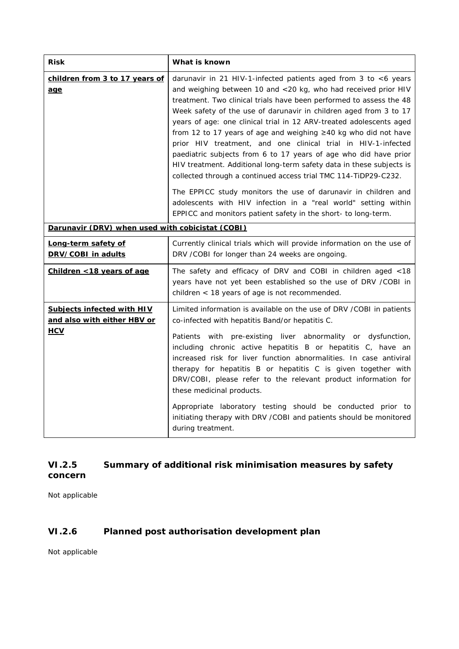| <b>Risk</b>                                                                    | What is known                                                                                                                                                                                                                                                                                                                                                                                                                                                                                                                                                                                                                                                                                           |
|--------------------------------------------------------------------------------|---------------------------------------------------------------------------------------------------------------------------------------------------------------------------------------------------------------------------------------------------------------------------------------------------------------------------------------------------------------------------------------------------------------------------------------------------------------------------------------------------------------------------------------------------------------------------------------------------------------------------------------------------------------------------------------------------------|
| children from 3 to 17 years of<br><u>age</u>                                   | darunavir in 21 HIV-1-infected patients aged from 3 to <6 years<br>and weighing between 10 and <20 kg, who had received prior HIV<br>treatment. Two clinical trials have been performed to assess the 48<br>Week safety of the use of darunavir in children aged from 3 to 17<br>years of age: one clinical trial in 12 ARV-treated adolescents aged<br>from 12 to 17 years of age and weighing ≥40 kg who did not have<br>prior HIV treatment, and one clinical trial in HIV-1-infected<br>paediatric subjects from 6 to 17 years of age who did have prior<br>HIV treatment. Additional long-term safety data in these subjects is<br>collected through a continued access trial TMC 114-TiDP29-C232. |
|                                                                                | The EPPICC study monitors the use of darunavir in children and<br>adolescents with HIV infection in a "real world" setting within<br>EPPICC and monitors patient safety in the short- to long-term.                                                                                                                                                                                                                                                                                                                                                                                                                                                                                                     |
| Darunavir (DRV) when used with cobicistat (COBI)                               |                                                                                                                                                                                                                                                                                                                                                                                                                                                                                                                                                                                                                                                                                                         |
| Long-term safety of<br>DRV/COBI in adults                                      | Currently clinical trials which will provide information on the use of<br>DRV / COBI for longer than 24 weeks are ongoing.                                                                                                                                                                                                                                                                                                                                                                                                                                                                                                                                                                              |
| Children <18 years of age                                                      | The safety and efficacy of DRV and COBI in children aged <18<br>years have not yet been established so the use of DRV /COBI in<br>children < 18 years of age is not recommended.                                                                                                                                                                                                                                                                                                                                                                                                                                                                                                                        |
| <b>Subjects infected with HIV</b><br>and also with either HBV or<br><b>HCV</b> | Limited information is available on the use of DRV / COBI in patients<br>co-infected with hepatitis Band/or hepatitis C.<br>Patients with pre-existing liver abnormality or dysfunction,<br>including chronic active hepatitis B or hepatitis C, have an<br>increased risk for liver function abnormalities. In case antiviral<br>therapy for hepatitis B or hepatitis C is given together with<br>DRV/COBI, please refer to the relevant product information for<br>these medicinal products.<br>Appropriate laboratory testing should be conducted prior to<br>initiating therapy with DRV / COBI and patients should be monitored<br>during treatment.                                               |

# **VI.2.5 Summary of additional risk minimisation measures by safety concern**

Not applicable

# **VI.2.6 Planned post authorisation development plan**

Not applicable